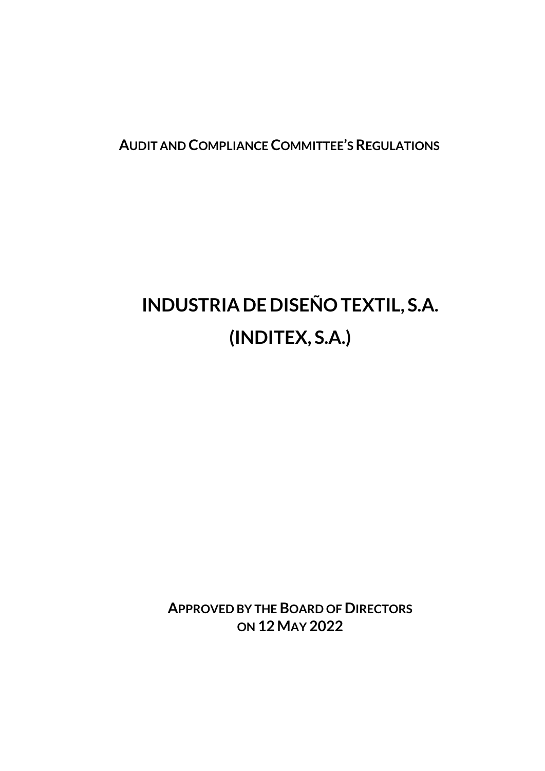**AUDIT AND COMPLIANCE COMMITTEE'S REGULATIONS**

# **INDUSTRIADE DISEÑO TEXTIL, S.A. (INDITEX, S.A.)**

**APPROVED BY THE BOARD OF DIRECTORS ON 12 MAY 2022**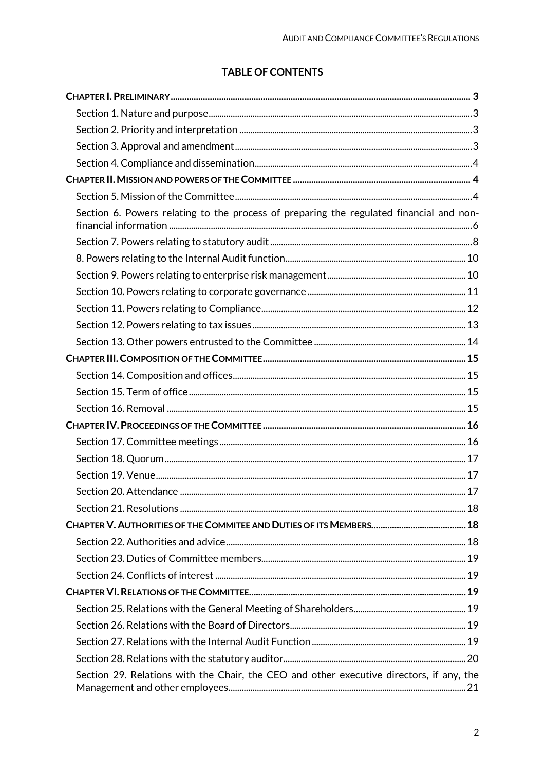# **TABLE OF CONTENTS**

| Section 6. Powers relating to the process of preparing the regulated financial and non-  |  |
|------------------------------------------------------------------------------------------|--|
|                                                                                          |  |
|                                                                                          |  |
|                                                                                          |  |
|                                                                                          |  |
|                                                                                          |  |
|                                                                                          |  |
|                                                                                          |  |
|                                                                                          |  |
|                                                                                          |  |
|                                                                                          |  |
|                                                                                          |  |
|                                                                                          |  |
|                                                                                          |  |
|                                                                                          |  |
|                                                                                          |  |
|                                                                                          |  |
|                                                                                          |  |
|                                                                                          |  |
|                                                                                          |  |
|                                                                                          |  |
|                                                                                          |  |
|                                                                                          |  |
|                                                                                          |  |
|                                                                                          |  |
|                                                                                          |  |
|                                                                                          |  |
| Section 29. Relations with the Chair, the CEO and other executive directors, if any, the |  |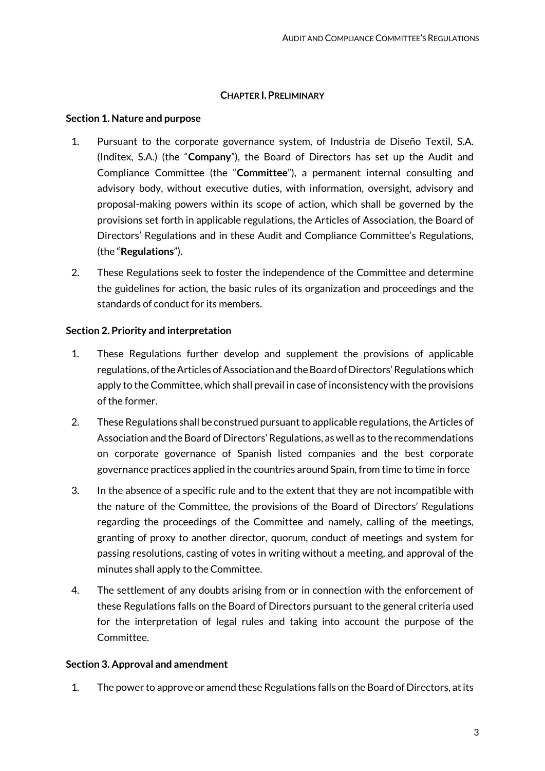## **CHAPTER I.PRELIMINARY**

# <span id="page-2-1"></span><span id="page-2-0"></span>**Section 1. Nature and purpose**

- 1. Pursuant to the corporate governance system, of Industria de Diseño Textil, S.A. (Inditex, S.A.) (the "**Company**"), the Board of Directors has set up the Audit and Compliance Committee (the "**Committee**"), a permanent internal consulting and advisory body, without executive duties, with information, oversight, advisory and proposal-making powers within its scope of action, which shall be governed by the provisions set forth in applicable regulations, the Articles of Association, the Board of Directors' Regulations and in these Audit and Compliance Committee's Regulations, (the "**Regulations**").
- 2. These Regulations seek to foster the independence of the Committee and determine the guidelines for action, the basic rules of its organization and proceedings and the standards of conduct for its members.

# <span id="page-2-2"></span>**Section 2. Priority and interpretation**

- 1. These Regulations further develop and supplement the provisions of applicable regulations, of the Articles of Association and the Board of Directors' Regulations which apply to the Committee, which shall prevail in case of inconsistency with the provisions of the former.
- 2. These Regulations shall be construed pursuant to applicable regulations, the Articles of Association and the Board of Directors' Regulations, as well as to the recommendations on corporate governance of Spanish listed companies and the best corporate governance practices applied in the countries around Spain, from time to time in force
- 3. In the absence of a specific rule and to the extent that they are not incompatible with the nature of the Committee, the provisions of the Board of Directors' Regulations regarding the proceedings of the Committee and namely, calling of the meetings, granting of proxy to another director, quorum, conduct of meetings and system for passing resolutions, casting of votes in writing without a meeting, and approval of the minutes shall apply to the Committee.
- 4. The settlement of any doubts arising from or in connection with the enforcement of these Regulations falls on the Board of Directors pursuant to the general criteria used for the interpretation of legal rules and taking into account the purpose of the Committee.

# <span id="page-2-3"></span>**Section 3. Approval and amendment**

1. The power to approve or amend these Regulations falls on the Board of Directors, at its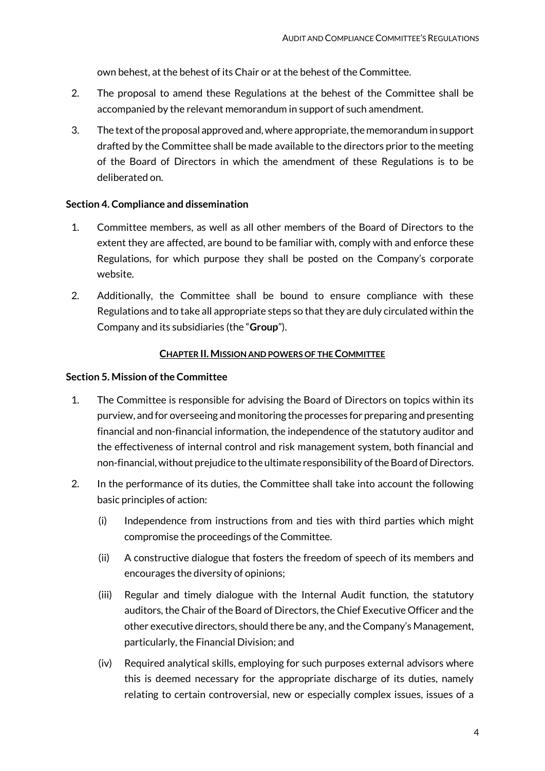own behest, at the behest of its Chair or at the behest of the Committee.

- 2. The proposal to amend these Regulations at the behest of the Committee shall be accompanied by the relevant memorandum in support of such amendment.
- 3. The text of the proposal approved and, where appropriate, the memorandum in support drafted by the Committee shall be made available to the directors prior to the meeting of the Board of Directors in which the amendment of these Regulations is to be deliberated on.

## <span id="page-3-0"></span>**Section 4. Compliance and dissemination**

- 1. Committee members, as well as all other members of the Board of Directors to the extent they are affected, are bound to be familiar with, comply with and enforce these Regulations, for which purpose they shall be posted on the Company's corporate website.
- 2. Additionally, the Committee shall be bound to ensure compliance with these Regulations and to take all appropriate steps so that they are duly circulated within the Company and its subsidiaries (the "**Group**").

#### **CHAPTER II.MISSION AND POWERS OF THE COMMITTEE**

## <span id="page-3-2"></span><span id="page-3-1"></span>**Section 5. Mission of the Committee**

- 1. The Committee is responsible for advising the Board of Directors on topics within its purview, and for overseeing and monitoring the processes for preparing and presenting financial and non-financial information, the independence of the statutory auditor and the effectiveness of internal control and risk management system, both financial and non-financial, without prejudice to the ultimate responsibility of the Board of Directors.
- 2. In the performance of its duties, the Committee shall take into account the following basic principles of action:
	- (i) Independence from instructions from and ties with third parties which might compromise the proceedings of the Committee.
	- (ii) A constructive dialogue that fosters the freedom of speech of its members and encourages the diversity of opinions;
	- (iii) Regular and timely dialogue with the Internal Audit function, the statutory auditors, the Chair of the Board of Directors, the Chief Executive Officer and the other executive directors, should there be any, and the Company's Management, particularly, the Financial Division; and
	- (iv) Required analytical skills, employing for such purposes external advisors where this is deemed necessary for the appropriate discharge of its duties, namely relating to certain controversial, new or especially complex issues, issues of a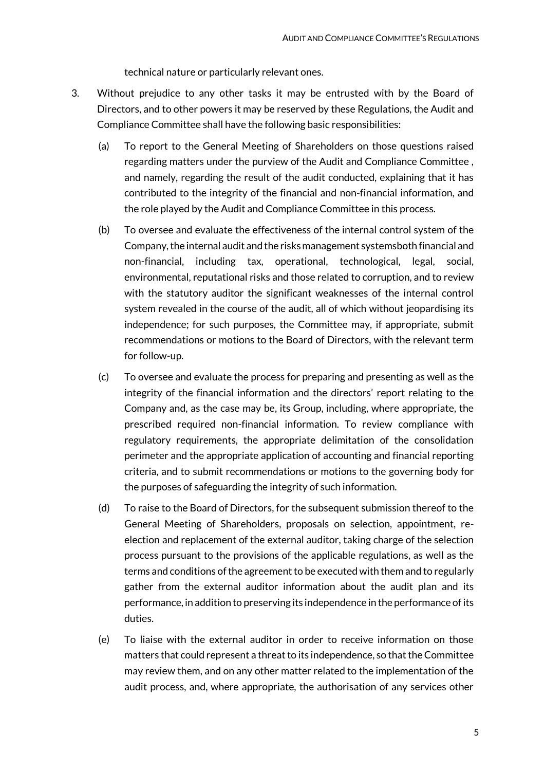technical nature or particularly relevant ones.

- 3. Without prejudice to any other tasks it may be entrusted with by the Board of Directors, and to other powers it may be reserved by these Regulations, the Audit and Compliance Committee shall have the following basic responsibilities:
	- (a) To report to the General Meeting of Shareholders on those questions raised regarding matters under the purview of the Audit and Compliance Committee , and namely, regarding the result of the audit conducted, explaining that it has contributed to the integrity of the financial and non-financial information, and the role played by the Audit and Compliance Committee in this process.
	- (b) To oversee and evaluate the effectiveness of the internal control system of the Company, the internal audit and the risks management systemsboth financial and non-financial, including tax, operational, technological, legal, social, environmental, reputational risks and those related to corruption, and to review with the statutory auditor the significant weaknesses of the internal control system revealed in the course of the audit, all of which without jeopardising its independence; for such purposes, the Committee may, if appropriate, submit recommendations or motions to the Board of Directors, with the relevant term for follow-up.
	- (c) To oversee and evaluate the process for preparing and presenting as well as the integrity of the financial information and the directors' report relating to the Company and, as the case may be, its Group, including, where appropriate, the prescribed required non-financial information. To review compliance with regulatory requirements, the appropriate delimitation of the consolidation perimeter and the appropriate application of accounting and financial reporting criteria, and to submit recommendations or motions to the governing body for the purposes of safeguarding the integrity of such information.
	- (d) To raise to the Board of Directors, for the subsequent submission thereof to the General Meeting of Shareholders, proposals on selection, appointment, reelection and replacement of the external auditor, taking charge of the selection process pursuant to the provisions of the applicable regulations, as well as the terms and conditions of the agreement to be executed with them and to regularly gather from the external auditor information about the audit plan and its performance, in addition to preserving its independence in the performance of its duties.
	- (e) To liaise with the external auditor in order to receive information on those matters that could represent a threat to its independence, so that the Committee may review them, and on any other matter related to the implementation of the audit process, and, where appropriate, the authorisation of any services other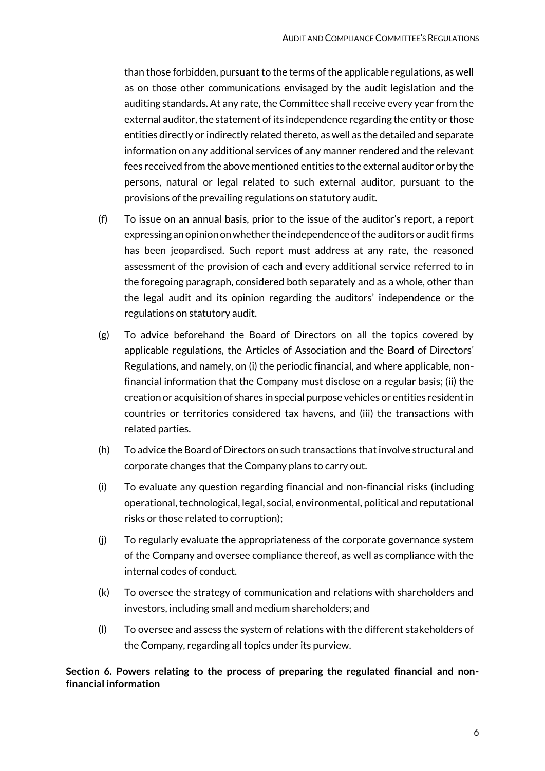than those forbidden, pursuant to the terms of the applicable regulations, as well as on those other communications envisaged by the audit legislation and the auditing standards. At any rate, the Committee shall receive every year from the external auditor, the statement of its independence regarding the entity or those entities directly or indirectly related thereto, as well as the detailed and separate information on any additional services of any manner rendered and the relevant fees received from the above mentioned entities to the external auditor or by the persons, natural or legal related to such external auditor, pursuant to the provisions of the prevailing regulations on statutory audit.

- (f) To issue on an annual basis, prior to the issue of the auditor's report, a report expressing an opinion on whether the independence of the auditors or audit firms has been jeopardised. Such report must address at any rate, the reasoned assessment of the provision of each and every additional service referred to in the foregoing paragraph, considered both separately and as a whole, other than the legal audit and its opinion regarding the auditors' independence or the regulations on statutory audit.
- (g) To advice beforehand the Board of Directors on all the topics covered by applicable regulations, the Articles of Association and the Board of Directors' Regulations, and namely, on (i) the periodic financial, and where applicable, nonfinancial information that the Company must disclose on a regular basis; (ii) the creation or acquisition of shares in special purpose vehicles or entities resident in countries or territories considered tax havens, and (iii) the transactions with related parties.
- (h) To advice the Board of Directors on such transactions that involve structural and corporate changes that the Company plans to carry out.
- (i) To evaluate any question regarding financial and non-financial risks (including operational, technological, legal, social, environmental, political and reputational risks or those related to corruption);
- (j) To regularly evaluate the appropriateness of the corporate governance system of the Company and oversee compliance thereof, as well as compliance with the internal codes of conduct.
- (k) To oversee the strategy of communication and relations with shareholders and investors, including small and medium shareholders; and
- (l) To oversee and assess the system of relations with the different stakeholders of the Company, regarding all topics under its purview.

# <span id="page-5-0"></span>**Section 6. Powers relating to the process of preparing the regulated financial and nonfinancial information**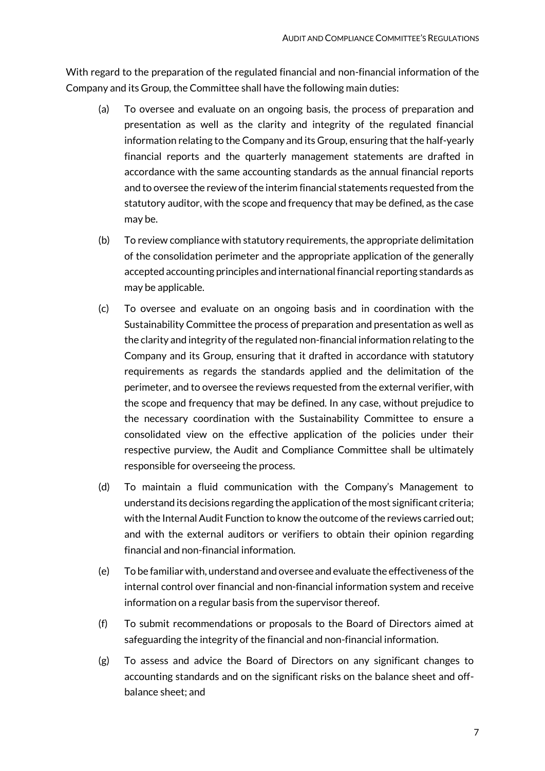With regard to the preparation of the regulated financial and non-financial information of the Company and its Group, the Committee shall have the following main duties:

- (a) To oversee and evaluate on an ongoing basis, the process of preparation and presentation as well as the clarity and integrity of the regulated financial information relating to the Company and its Group, ensuring that the half-yearly financial reports and the quarterly management statements are drafted in accordance with the same accounting standards as the annual financial reports and to oversee the review of the interim financial statements requested from the statutory auditor, with the scope and frequency that may be defined, as the case may be.
- (b) To review compliance with statutory requirements, the appropriate delimitation of the consolidation perimeter and the appropriate application of the generally accepted accounting principles and international financial reporting standards as may be applicable.
- (c) To oversee and evaluate on an ongoing basis and in coordination with the Sustainability Committee the process of preparation and presentation as well as the clarity and integrity of the regulated non-financial information relating to the Company and its Group, ensuring that it drafted in accordance with statutory requirements as regards the standards applied and the delimitation of the perimeter, and to oversee the reviews requested from the external verifier, with the scope and frequency that may be defined. In any case, without prejudice to the necessary coordination with the Sustainability Committee to ensure a consolidated view on the effective application of the policies under their respective purview, the Audit and Compliance Committee shall be ultimately responsible for overseeing the process.
- (d) To maintain a fluid communication with the Company's Management to understand its decisions regarding the application of the most significant criteria; with the Internal Audit Function to know the outcome of the reviews carried out; and with the external auditors or verifiers to obtain their opinion regarding financial and non-financial information.
- (e) To be familiar with, understand and oversee and evaluate the effectiveness of the internal control over financial and non-financial information system and receive information on a regular basis from the supervisor thereof.
- (f) To submit recommendations or proposals to the Board of Directors aimed at safeguarding the integrity of the financial and non-financial information.
- (g) To assess and advice the Board of Directors on any significant changes to accounting standards and on the significant risks on the balance sheet and offbalance sheet; and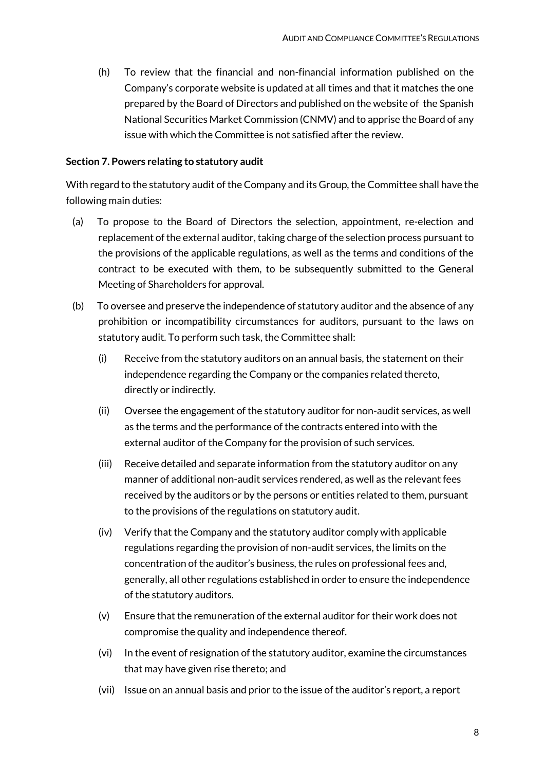(h) To review that the financial and non-financial information published on the Company's corporate website is updated at all times and that it matches the one prepared by the Board of Directors and published on the website of the Spanish National Securities Market Commission (CNMV) and to apprise the Board of any issue with which the Committee is not satisfied after the review.

## <span id="page-7-0"></span>**Section 7. Powers relating to statutory audit**

With regard to the statutory audit of the Company and its Group, the Committee shall have the following main duties:

- (a) To propose to the Board of Directors the selection, appointment, re-election and replacement of the external auditor, taking charge of the selection process pursuant to the provisions of the applicable regulations, as well as the terms and conditions of the contract to be executed with them, to be subsequently submitted to the General Meeting of Shareholders for approval.
- (b) To oversee and preserve the independence of statutory auditor and the absence of any prohibition or incompatibility circumstances for auditors, pursuant to the laws on statutory audit. To perform such task, the Committee shall:
	- (i) Receive from the statutory auditors on an annual basis, the statement on their independence regarding the Company or the companies related thereto, directly or indirectly.
	- (ii) Oversee the engagement of the statutory auditor for non-audit services, as well as the terms and the performance of the contracts entered into with the external auditor of the Company for the provision of such services.
	- (iii) Receive detailed and separate information from the statutory auditor on any manner of additional non-audit services rendered, as well as the relevant fees received by the auditors or by the persons or entities related to them, pursuant to the provisions of the regulations on statutory audit.
	- (iv) Verify that the Company and the statutory auditor comply with applicable regulations regarding the provision of non-audit services, the limits on the concentration of the auditor's business, the rules on professional fees and, generally, all other regulations established in order to ensure the independence of the statutory auditors.
	- (v) Ensure that the remuneration of the external auditor for their work does not compromise the quality and independence thereof.
	- (vi) In the event of resignation of the statutory auditor, examine the circumstances that may have given rise thereto; and
	- (vii) Issue on an annual basis and prior to the issue of the auditor's report, a report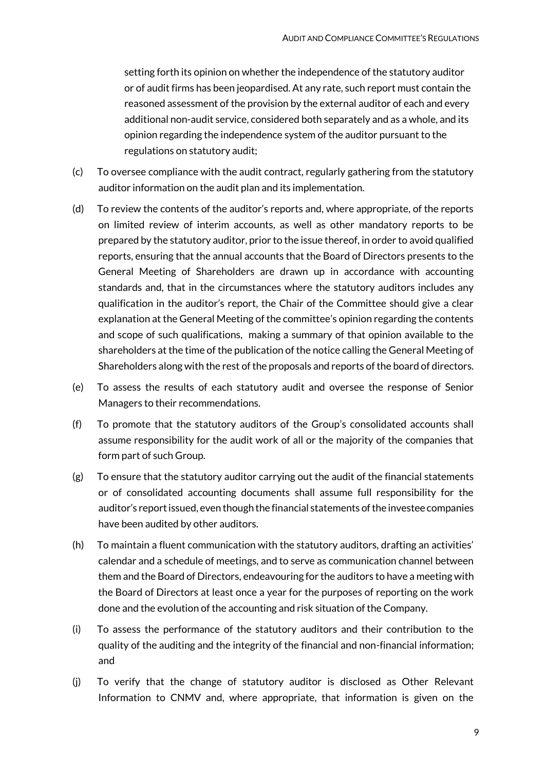setting forth its opinion on whether the independence of the statutory auditor or of audit firms has been jeopardised. At any rate, such report must contain the reasoned assessment of the provision by the external auditor of each and every additional non-audit service, considered both separately and as a whole, and its opinion regarding the independence system of the auditor pursuant to the regulations on statutory audit;

- (c) To oversee compliance with the audit contract, regularly gathering from the statutory auditor information on the audit plan and its implementation.
- (d) To review the contents of the auditor's reports and, where appropriate, of the reports on limited review of interim accounts, as well as other mandatory reports to be prepared by the statutory auditor, prior to the issue thereof, in order to avoid qualified reports, ensuring that the annual accounts that the Board of Directors presents to the General Meeting of Shareholders are drawn up in accordance with accounting standards and, that in the circumstances where the statutory auditors includes any qualification in the auditor's report, the Chair of the Committee should give a clear explanation at the General Meeting of the committee's opinion regarding the contents and scope of such qualifications, making a summary of that opinion available to the shareholders at the time of the publication of the notice calling the General Meeting of Shareholders along with the rest of the proposals and reports of the board of directors.
- (e) To assess the results of each statutory audit and oversee the response of Senior Managers to their recommendations.
- (f) To promote that the statutory auditors of the Group's consolidated accounts shall assume responsibility for the audit work of all or the majority of the companies that form part of such Group.
- (g) To ensure that the statutory auditor carrying out the audit of the financial statements or of consolidated accounting documents shall assume full responsibility for the auditor's report issued, even though the financial statements of the investee companies have been audited by other auditors.
- (h) To maintain a fluent communication with the statutory auditors, drafting an activities' calendar and a schedule of meetings, and to serve as communication channel between them and the Board of Directors, endeavouring for the auditors to have a meeting with the Board of Directors at least once a year for the purposes of reporting on the work done and the evolution of the accounting and risk situation of the Company.
- (i) To assess the performance of the statutory auditors and their contribution to the quality of the auditing and the integrity of the financial and non-financial information; and
- (j) To verify that the change of statutory auditor is disclosed as Other Relevant Information to CNMV and, where appropriate, that information is given on the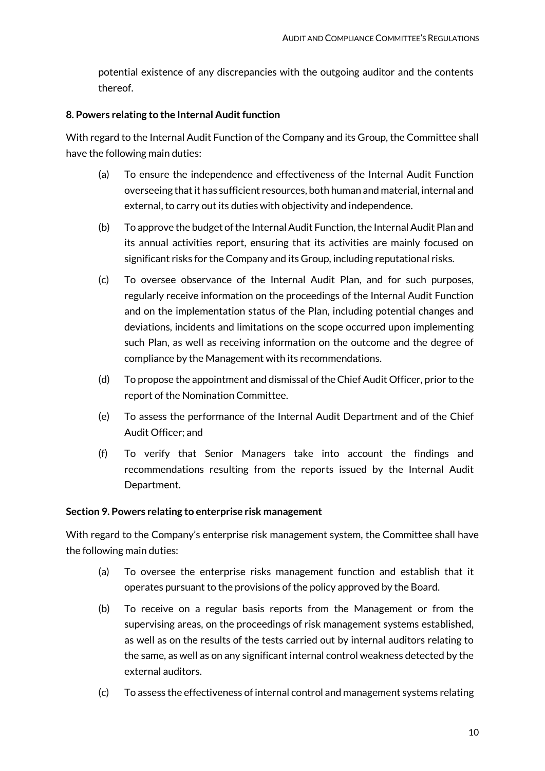potential existence of any discrepancies with the outgoing auditor and the contents thereof.

# <span id="page-9-0"></span>**8. Powers relating to the Internal Audit function**

With regard to the Internal Audit Function of the Company and its Group, the Committee shall have the following main duties:

- (a) To ensure the independence and effectiveness of the Internal Audit Function overseeing that it has sufficient resources, both human and material, internal and external, to carry out its duties with objectivity and independence.
- (b) To approve the budget of the Internal Audit Function, the Internal Audit Plan and its annual activities report, ensuring that its activities are mainly focused on significant risks for the Company and its Group, including reputational risks.
- (c) To oversee observance of the Internal Audit Plan, and for such purposes, regularly receive information on the proceedings of the Internal Audit Function and on the implementation status of the Plan, including potential changes and deviations, incidents and limitations on the scope occurred upon implementing such Plan, as well as receiving information on the outcome and the degree of compliance by the Management with its recommendations.
- (d) To propose the appointment and dismissal of the Chief Audit Officer, prior to the report of the Nomination Committee.
- (e) To assess the performance of the Internal Audit Department and of the Chief Audit Officer; and
- (f) To verify that Senior Managers take into account the findings and recommendations resulting from the reports issued by the Internal Audit Department.

# <span id="page-9-1"></span>**Section 9. Powers relating to enterprise risk management**

With regard to the Company's enterprise risk management system, the Committee shall have the following main duties:

- (a) To oversee the enterprise risks management function and establish that it operates pursuant to the provisions of the policy approved by the Board.
- (b) To receive on a regular basis reports from the Management or from the supervising areas, on the proceedings of risk management systems established, as well as on the results of the tests carried out by internal auditors relating to the same, as well as on any significant internal control weakness detected by the external auditors.
- (c) To assess the effectiveness of internal control and management systems relating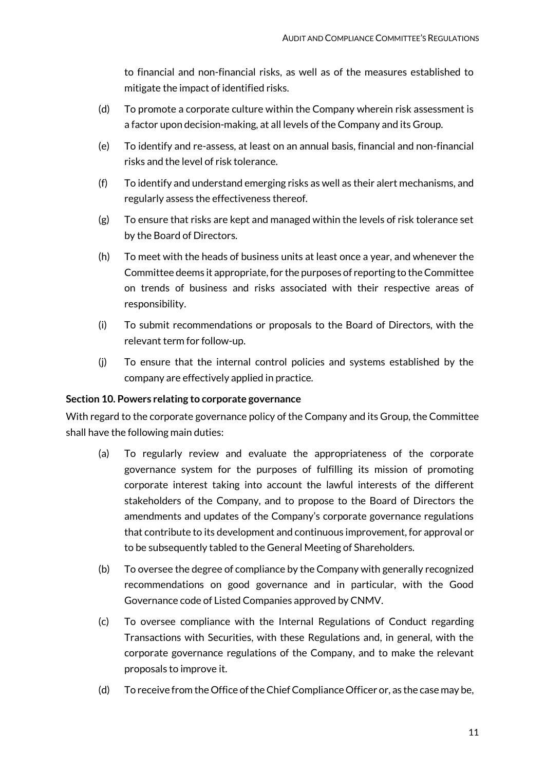to financial and non-financial risks, as well as of the measures established to mitigate the impact of identified risks.

- (d) To promote a corporate culture within the Company wherein risk assessment is a factor upon decision-making, at all levels of the Company and its Group.
- (e) To identify and re-assess, at least on an annual basis, financial and non-financial risks and the level of risk tolerance.
- (f) To identify and understand emerging risks as well as their alert mechanisms, and regularly assess the effectiveness thereof.
- (g) To ensure that risks are kept and managed within the levels of risk tolerance set by the Board of Directors.
- (h) To meet with the heads of business units at least once a year, and whenever the Committee deems it appropriate, for the purposes of reporting to the Committee on trends of business and risks associated with their respective areas of responsibility.
- (i) To submit recommendations or proposals to the Board of Directors, with the relevant term for follow-up.
- (j) To ensure that the internal control policies and systems established by the company are effectively applied in practice.

# <span id="page-10-0"></span>**Section 10. Powers relating to corporate governance**

With regard to the corporate governance policy of the Company and its Group, the Committee shall have the following main duties:

- (a) To regularly review and evaluate the appropriateness of the corporate governance system for the purposes of fulfilling its mission of promoting corporate interest taking into account the lawful interests of the different stakeholders of the Company, and to propose to the Board of Directors the amendments and updates of the Company's corporate governance regulations that contribute to its development and continuous improvement, for approval or to be subsequently tabled to the General Meeting of Shareholders.
- (b) To oversee the degree of compliance by the Company with generally recognized recommendations on good governance and in particular, with the Good Governance code of Listed Companies approved by CNMV.
- (c) To oversee compliance with the Internal Regulations of Conduct regarding Transactions with Securities, with these Regulations and, in general, with the corporate governance regulations of the Company, and to make the relevant proposals to improve it.
- (d) To receive from the Office of the Chief Compliance Officer or, as the case may be,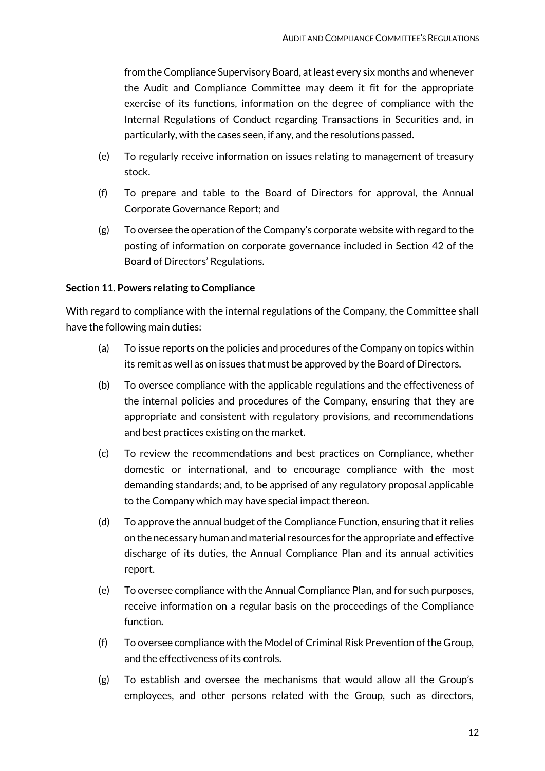from the Compliance Supervisory Board, at least every six months and whenever the Audit and Compliance Committee may deem it fit for the appropriate exercise of its functions, information on the degree of compliance with the Internal Regulations of Conduct regarding Transactions in Securities and, in particularly, with the cases seen, if any, and the resolutions passed.

- (e) To regularly receive information on issues relating to management of treasury stock.
- (f) To prepare and table to the Board of Directors for approval, the Annual Corporate Governance Report; and
- (g) To oversee the operation of the Company's corporate website with regard to the posting of information on corporate governance included in Section 42 of the Board of Directors' Regulations.

# <span id="page-11-0"></span>**Section 11. Powers relating to Compliance**

With regard to compliance with the internal regulations of the Company, the Committee shall have the following main duties:

- (a) To issue reports on the policies and procedures of the Company on topics within its remit as well as on issues that must be approved by the Board of Directors.
- (b) To oversee compliance with the applicable regulations and the effectiveness of the internal policies and procedures of the Company, ensuring that they are appropriate and consistent with regulatory provisions, and recommendations and best practices existing on the market.
- (c) To review the recommendations and best practices on Compliance, whether domestic or international, and to encourage compliance with the most demanding standards; and, to be apprised of any regulatory proposal applicable to the Company which may have special impact thereon.
- (d) To approve the annual budget of the Compliance Function, ensuring that it relies on the necessary human and material resources for the appropriate and effective discharge of its duties, the Annual Compliance Plan and its annual activities report.
- (e) To oversee compliance with the Annual Compliance Plan, and for such purposes, receive information on a regular basis on the proceedings of the Compliance function.
- (f) To oversee compliance with the Model of Criminal Risk Prevention of the Group, and the effectiveness of its controls.
- (g) To establish and oversee the mechanisms that would allow all the Group's employees, and other persons related with the Group, such as directors,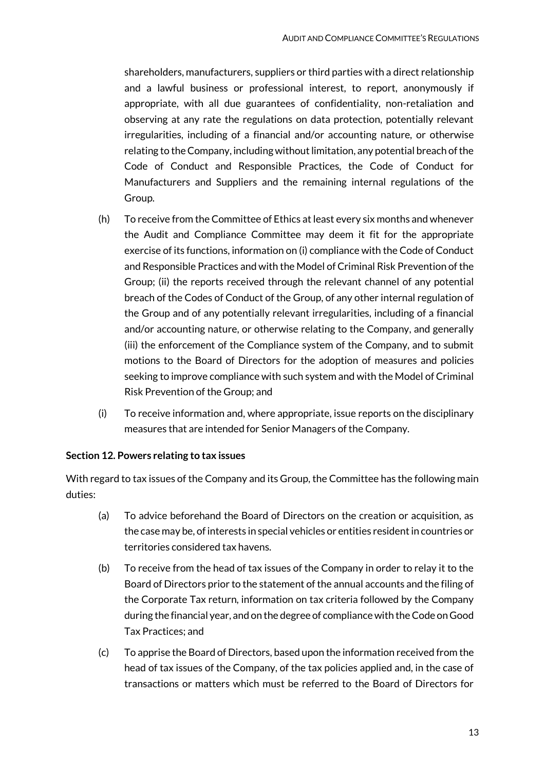shareholders, manufacturers, suppliers or third parties with a direct relationship and a lawful business or professional interest, to report, anonymously if appropriate, with all due guarantees of confidentiality, non-retaliation and observing at any rate the regulations on data protection, potentially relevant irregularities, including of a financial and/or accounting nature, or otherwise relating to the Company, including without limitation, any potential breach of the Code of Conduct and Responsible Practices, the Code of Conduct for Manufacturers and Suppliers and the remaining internal regulations of the Group.

- (h) To receive from the Committee of Ethics at least every six months and whenever the Audit and Compliance Committee may deem it fit for the appropriate exercise of its functions, information on (i) compliance with the Code of Conduct and Responsible Practices and with the Model of Criminal Risk Prevention of the Group; (ii) the reports received through the relevant channel of any potential breach of the Codes of Conduct of the Group, of any other internal regulation of the Group and of any potentially relevant irregularities, including of a financial and/or accounting nature, or otherwise relating to the Company, and generally (iii) the enforcement of the Compliance system of the Company, and to submit motions to the Board of Directors for the adoption of measures and policies seeking to improve compliance with such system and with the Model of Criminal Risk Prevention of the Group; and
- (i) To receive information and, where appropriate, issue reports on the disciplinary measures that are intended for Senior Managers of the Company.

# <span id="page-12-0"></span>**Section 12. Powers relating to tax issues**

With regard to tax issues of the Company and its Group, the Committee has the following main duties:

- (a) To advice beforehand the Board of Directors on the creation or acquisition, as the case may be, of interests in special vehicles or entities resident in countries or territories considered tax havens.
- (b) To receive from the head of tax issues of the Company in order to relay it to the Board of Directors prior to the statement of the annual accounts and the filing of the Corporate Tax return, information on tax criteria followed by the Company during the financial year, and on the degree of compliance with the Code on Good Tax Practices; and
- (c) To apprise the Board of Directors, based upon the information received from the head of tax issues of the Company, of the tax policies applied and, in the case of transactions or matters which must be referred to the Board of Directors for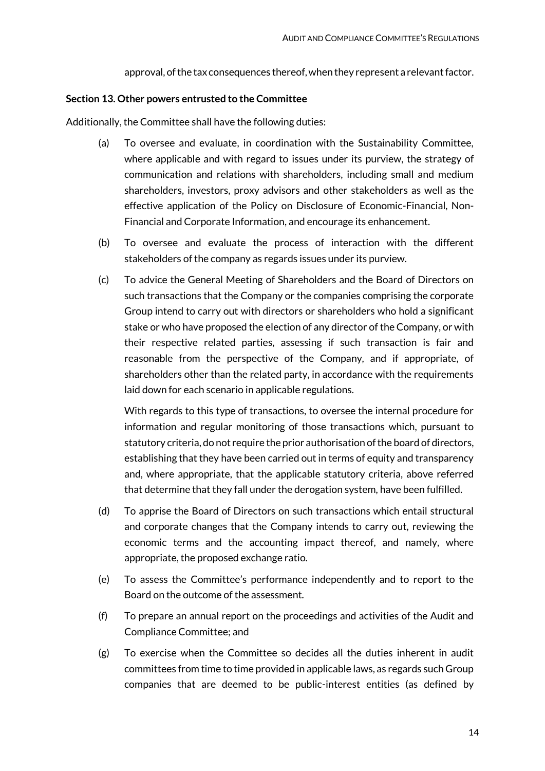approval, of the tax consequences thereof, when they represent a relevant factor.

## <span id="page-13-0"></span>**Section 13. Other powers entrusted to the Committee**

Additionally, the Committee shall have the following duties:

- (a) To oversee and evaluate, in coordination with the Sustainability Committee, where applicable and with regard to issues under its purview, the strategy of communication and relations with shareholders, including small and medium shareholders, investors, proxy advisors and other stakeholders as well as the effective application of the Policy on Disclosure of Economic-Financial, Non-Financial and Corporate Information, and encourage its enhancement.
- (b) To oversee and evaluate the process of interaction with the different stakeholders of the company as regards issues under its purview.
- (c) To advice the General Meeting of Shareholders and the Board of Directors on such transactions that the Company or the companies comprising the corporate Group intend to carry out with directors or shareholders who hold a significant stake or who have proposed the election of any director of the Company, or with their respective related parties, assessing if such transaction is fair and reasonable from the perspective of the Company, and if appropriate, of shareholders other than the related party, in accordance with the requirements laid down for each scenario in applicable regulations.

With regards to this type of transactions, to oversee the internal procedure for information and regular monitoring of those transactions which, pursuant to statutory criteria, do not require the prior authorisation of the board of directors, establishing that they have been carried out in terms of equity and transparency and, where appropriate, that the applicable statutory criteria, above referred that determine that they fall under the derogation system, have been fulfilled.

- (d) To apprise the Board of Directors on such transactions which entail structural and corporate changes that the Company intends to carry out, reviewing the economic terms and the accounting impact thereof, and namely, where appropriate, the proposed exchange ratio.
- (e) To assess the Committee's performance independently and to report to the Board on the outcome of the assessment.
- (f) To prepare an annual report on the proceedings and activities of the Audit and Compliance Committee; and
- (g) To exercise when the Committee so decides all the duties inherent in audit committees from time to time provided in applicable laws, as regards such Group companies that are deemed to be public-interest entities (as defined by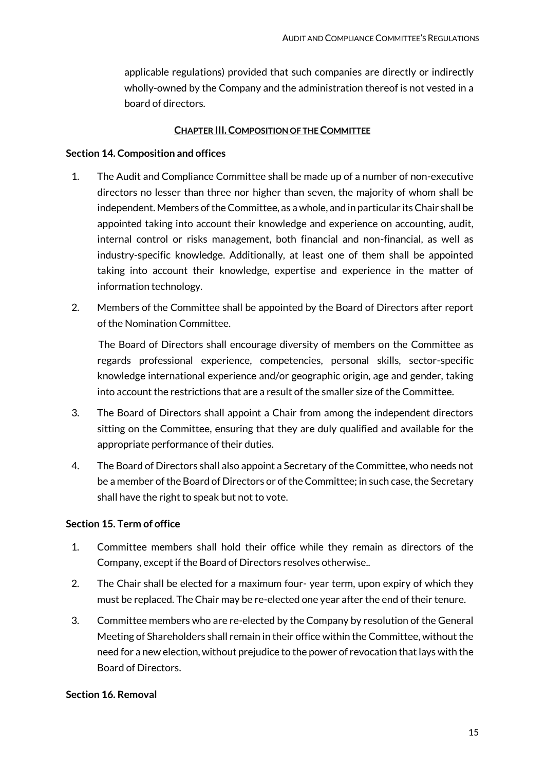applicable regulations) provided that such companies are directly or indirectly wholly-owned by the Company and the administration thereof is not vested in a board of directors.

## **CHAPTER III.COMPOSITION OF THE COMMITTEE**

## <span id="page-14-1"></span><span id="page-14-0"></span>**Section 14. Composition and offices**

- 1. The Audit and Compliance Committee shall be made up of a number of non-executive directors no lesser than three nor higher than seven, the majority of whom shall be independent. Members of the Committee, as a whole, and in particular its Chair shall be appointed taking into account their knowledge and experience on accounting, audit, internal control or risks management, both financial and non-financial, as well as industry-specific knowledge. Additionally, at least one of them shall be appointed taking into account their knowledge, expertise and experience in the matter of information technology.
- 2. Members of the Committee shall be appointed by the Board of Directors after report of the Nomination Committee.

The Board of Directors shall encourage diversity of members on the Committee as regards professional experience, competencies, personal skills, sector-specific knowledge international experience and/or geographic origin, age and gender, taking into account the restrictions that are a result of the smaller size of the Committee.

- 3. The Board of Directors shall appoint a Chair from among the independent directors sitting on the Committee, ensuring that they are duly qualified and available for the appropriate performance of their duties.
- 4. The Board of Directors shall also appoint a Secretary of the Committee, who needs not be a member of the Board of Directors or of the Committee; in such case, the Secretary shall have the right to speak but not to vote.

## <span id="page-14-2"></span>**Section 15. Term of office**

- 1. Committee members shall hold their office while they remain as directors of the Company, except if the Board of Directors resolves otherwise..
- 2. The Chair shall be elected for a maximum four- year term, upon expiry of which they must be replaced. The Chair may be re-elected one year after the end of their tenure.
- 3. Committee members who are re-elected by the Company by resolution of the General Meeting of Shareholders shall remain in their office within the Committee, without the need for a new election, without prejudice to the power of revocation that lays with the Board of Directors.

#### <span id="page-14-3"></span>**Section 16. Removal**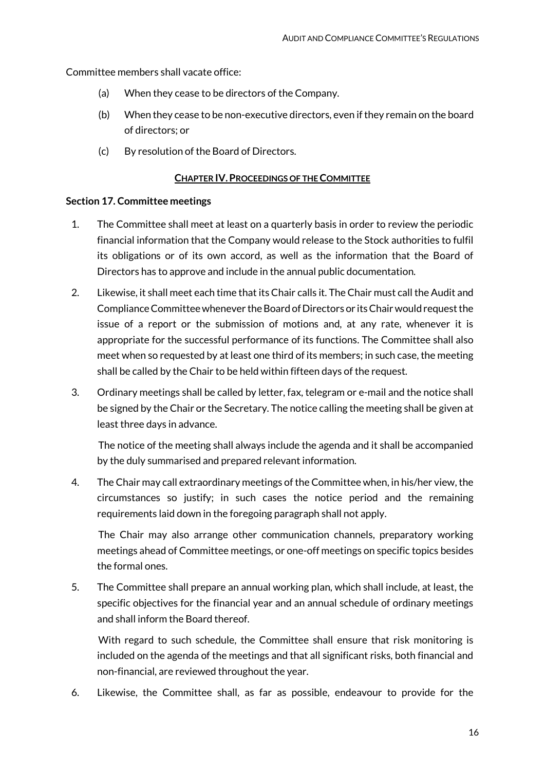Committee members shall vacate office:

- (a) When they cease to be directors of the Company.
- (b) When they cease to be non-executive directors, even if they remain on the board of directors; or
- (c) By resolution of the Board of Directors.

## **CHAPTER IV.PROCEEDINGS OF THE COMMITTEE**

## <span id="page-15-1"></span><span id="page-15-0"></span>**Section 17. Committee meetings**

- 1. The Committee shall meet at least on a quarterly basis in order to review the periodic financial information that the Company would release to the Stock authorities to fulfil its obligations or of its own accord, as well as the information that the Board of Directors has to approve and include in the annual public documentation.
- 2. Likewise, it shall meet each time that its Chair calls it. The Chair must call the Audit and Compliance Committee whenever the Board of Directors or its Chair would request the issue of a report or the submission of motions and, at any rate, whenever it is appropriate for the successful performance of its functions. The Committee shall also meet when so requested by at least one third of its members; in such case, the meeting shall be called by the Chair to be held within fifteen days of the request.
- 3. Ordinary meetings shall be called by letter, fax, telegram or e-mail and the notice shall be signed by the Chair or the Secretary. The notice calling the meeting shall be given at least three days in advance.

The notice of the meeting shall always include the agenda and it shall be accompanied by the duly summarised and prepared relevant information.

4. The Chair may call extraordinary meetings of the Committee when, in his/her view, the circumstances so justify; in such cases the notice period and the remaining requirements laid down in the foregoing paragraph shall not apply.

The Chair may also arrange other communication channels, preparatory working meetings ahead of Committee meetings, or one-off meetings on specific topics besides the formal ones.

5. The Committee shall prepare an annual working plan, which shall include, at least, the specific objectives for the financial year and an annual schedule of ordinary meetings and shall inform the Board thereof.

With regard to such schedule, the Committee shall ensure that risk monitoring is included on the agenda of the meetings and that all significant risks, both financial and non-financial, are reviewed throughout the year.

6. Likewise, the Committee shall, as far as possible, endeavour to provide for the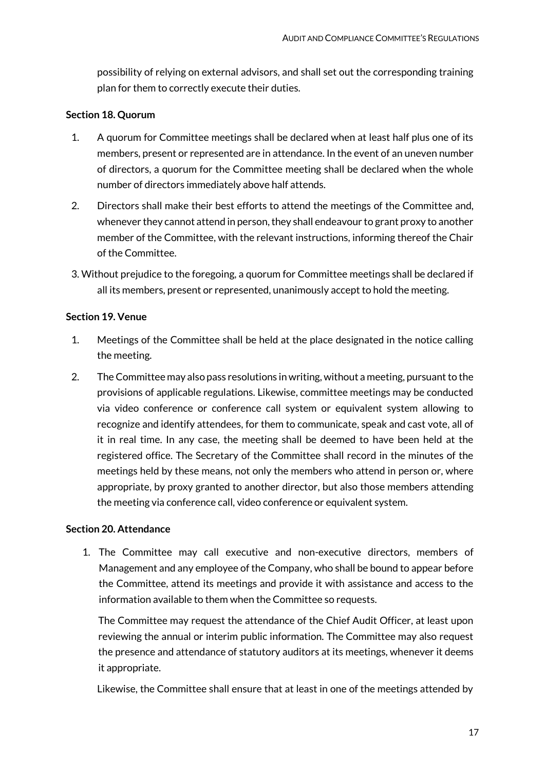possibility of relying on external advisors, and shall set out the corresponding training plan for them to correctly execute their duties.

# <span id="page-16-0"></span>**Section 18. Quorum**

- 1. A quorum for Committee meetings shall be declared when at least half plus one of its members, present or represented are in attendance. In the event of an uneven number of directors, a quorum for the Committee meeting shall be declared when the whole number of directors immediately above half attends.
- 2. Directors shall make their best efforts to attend the meetings of the Committee and, whenever they cannot attend in person, they shall endeavour to grant proxy to another member of the Committee, with the relevant instructions, informing thereof the Chair of the Committee.
- 3. Without prejudice to the foregoing, a quorum for Committee meetings shall be declared if all its members, present or represented, unanimously accept to hold the meeting.

# <span id="page-16-1"></span>**Section 19. Venue**

- 1. Meetings of the Committee shall be held at the place designated in the notice calling the meeting.
- 2. The Committee may also pass resolutions in writing, without a meeting, pursuant to the provisions of applicable regulations. Likewise, committee meetings may be conducted via video conference or conference call system or equivalent system allowing to recognize and identify attendees, for them to communicate, speak and cast vote, all of it in real time. In any case, the meeting shall be deemed to have been held at the registered office. The Secretary of the Committee shall record in the minutes of the meetings held by these means, not only the members who attend in person or, where appropriate, by proxy granted to another director, but also those members attending the meeting via conference call, video conference or equivalent system.

# <span id="page-16-2"></span>**Section 20. Attendance**

1. The Committee may call executive and non-executive directors, members of Management and any employee of the Company, who shall be bound to appear before the Committee, attend its meetings and provide it with assistance and access to the information available to them when the Committee so requests.

The Committee may request the attendance of the Chief Audit Officer, at least upon reviewing the annual or interim public information. The Committee may also request the presence and attendance of statutory auditors at its meetings, whenever it deems it appropriate.

Likewise, the Committee shall ensure that at least in one of the meetings attended by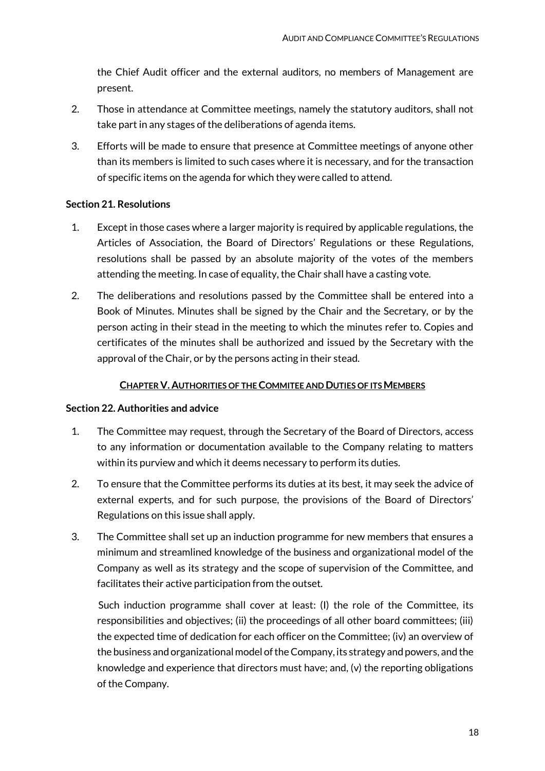the Chief Audit officer and the external auditors, no members of Management are present.

- 2. Those in attendance at Committee meetings, namely the statutory auditors, shall not take part in any stages of the deliberations of agenda items.
- 3. Efforts will be made to ensure that presence at Committee meetings of anyone other than its members is limited to such cases where it is necessary, and for the transaction of specific items on the agenda for which they were called to attend.

# <span id="page-17-0"></span>**Section 21. Resolutions**

- 1. Except in those cases where a larger majority is required by applicable regulations, the Articles of Association, the Board of Directors' Regulations or these Regulations, resolutions shall be passed by an absolute majority of the votes of the members attending the meeting. In case of equality, the Chair shall have a casting vote.
- 2. The deliberations and resolutions passed by the Committee shall be entered into a Book of Minutes. Minutes shall be signed by the Chair and the Secretary, or by the person acting in their stead in the meeting to which the minutes refer to. Copies and certificates of the minutes shall be authorized and issued by the Secretary with the approval of the Chair, or by the persons acting in their stead.

# **CHAPTER V. AUTHORITIES OF THE COMMITEE AND DUTIES OF ITS MEMBERS**

## <span id="page-17-2"></span><span id="page-17-1"></span>**Section 22. Authorities and advice**

- 1. The Committee may request, through the Secretary of the Board of Directors, access to any information or documentation available to the Company relating to matters within its purview and which it deems necessary to perform its duties.
- 2. To ensure that the Committee performs its duties at its best, it may seek the advice of external experts, and for such purpose, the provisions of the Board of Directors' Regulations on this issue shall apply.
- 3. The Committee shall set up an induction programme for new members that ensures a minimum and streamlined knowledge of the business and organizational model of the Company as well as its strategy and the scope of supervision of the Committee, and facilitates their active participation from the outset.

Such induction programme shall cover at least: (I) the role of the Committee, its responsibilities and objectives; (ii) the proceedings of all other board committees; (iii) the expected time of dedication for each officer on the Committee; (iv) an overview of the business and organizational model of the Company, its strategy and powers, and the knowledge and experience that directors must have; and, (v) the reporting obligations of the Company.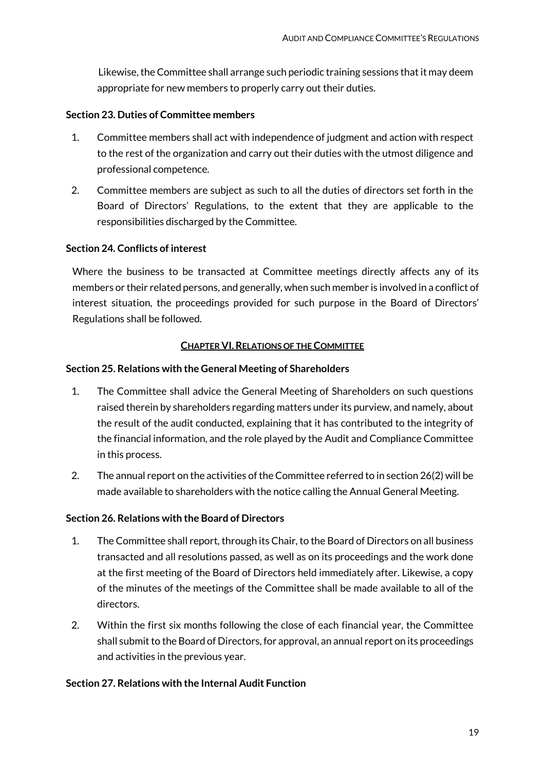Likewise, the Committee shall arrange such periodic training sessions that it may deem appropriate for new members to properly carry out their duties.

# <span id="page-18-0"></span>**Section 23. Duties of Committee members**

- 1. Committee members shall act with independence of judgment and action with respect to the rest of the organization and carry out their duties with the utmost diligence and professional competence.
- 2. Committee members are subject as such to all the duties of directors set forth in the Board of Directors' Regulations, to the extent that they are applicable to the responsibilities discharged by the Committee.

# <span id="page-18-1"></span>**Section 24. Conflicts of interest**

Where the business to be transacted at Committee meetings directly affects any of its members or their related persons, and generally, when such member is involved in a conflict of interest situation, the proceedings provided for such purpose in the Board of Directors' Regulations shall be followed.

## **CHAPTER VI.RELATIONS OF THE COMMITTEE**

# <span id="page-18-3"></span><span id="page-18-2"></span>**Section 25. Relations with the General Meeting of Shareholders**

- 1. The Committee shall advice the General Meeting of Shareholders on such questions raised therein by shareholders regarding matters under its purview, and namely, about the result of the audit conducted, explaining that it has contributed to the integrity of the financial information, and the role played by the Audit and Compliance Committee in this process.
- 2. The annual report on the activities of the Committee referred to in section 26(2) will be made available to shareholders with the notice calling the Annual General Meeting.

## <span id="page-18-4"></span>**Section 26. Relations with the Board of Directors**

- 1. The Committee shall report, through its Chair, to the Board of Directors on all business transacted and all resolutions passed, as well as on its proceedings and the work done at the first meeting of the Board of Directors held immediately after. Likewise, a copy of the minutes of the meetings of the Committee shall be made available to all of the directors.
- 2. Within the first six months following the close of each financial year, the Committee shall submit to the Board of Directors, for approval, an annual report on its proceedings and activities in the previous year.

# <span id="page-18-5"></span>**Section 27. Relations with the Internal Audit Function**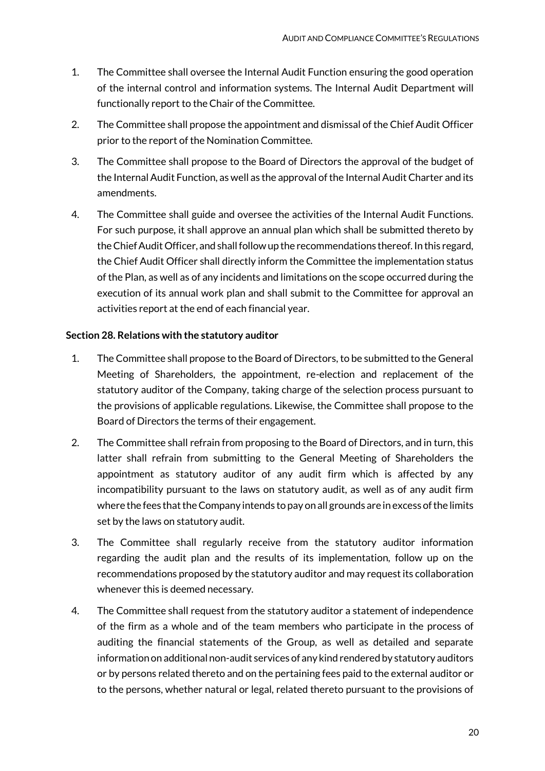- 1. The Committee shall oversee the Internal Audit Function ensuring the good operation of the internal control and information systems. The Internal Audit Department will functionally report to the Chair of the Committee.
- 2. The Committee shall propose the appointment and dismissal of the Chief Audit Officer prior to the report of the Nomination Committee.
- 3. The Committee shall propose to the Board of Directors the approval of the budget of the Internal Audit Function, as well as the approval of the Internal Audit Charter and its amendments.
- 4. The Committee shall guide and oversee the activities of the Internal Audit Functions. For such purpose, it shall approve an annual plan which shall be submitted thereto by the Chief Audit Officer, and shall follow up the recommendations thereof. In this regard, the Chief Audit Officer shall directly inform the Committee the implementation status of the Plan, as well as of any incidents and limitations on the scope occurred during the execution of its annual work plan and shall submit to the Committee for approval an activities report at the end of each financial year.

# <span id="page-19-0"></span>**Section 28. Relations with the statutory auditor**

- 1. The Committee shall propose to the Board of Directors, to be submitted to the General Meeting of Shareholders, the appointment, re-election and replacement of the statutory auditor of the Company, taking charge of the selection process pursuant to the provisions of applicable regulations. Likewise, the Committee shall propose to the Board of Directors the terms of their engagement.
- 2. The Committee shall refrain from proposing to the Board of Directors, and in turn, this latter shall refrain from submitting to the General Meeting of Shareholders the appointment as statutory auditor of any audit firm which is affected by any incompatibility pursuant to the laws on statutory audit, as well as of any audit firm where the fees that the Company intends to pay on all grounds are in excess of the limits set by the laws on statutory audit.
- 3. The Committee shall regularly receive from the statutory auditor information regarding the audit plan and the results of its implementation, follow up on the recommendations proposed by the statutory auditor and may request its collaboration whenever this is deemed necessary.
- 4. The Committee shall request from the statutory auditor a statement of independence of the firm as a whole and of the team members who participate in the process of auditing the financial statements of the Group, as well as detailed and separate information on additional non-audit services of any kind rendered by statutory auditors or by persons related thereto and on the pertaining fees paid to the external auditor or to the persons, whether natural or legal, related thereto pursuant to the provisions of